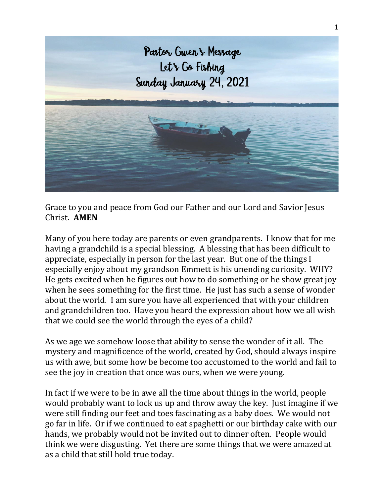

Grace to you and peace from God our Father and our Lord and Savior Jesus Christ. **AMEN**

Many of you here today are parents or even grandparents. I know that for me having a grandchild is a special blessing. A blessing that has been difficult to appreciate, especially in person for the last year. But one of the things I especially enjoy about my grandson Emmett is his unending curiosity. WHY? He gets excited when he figures out how to do something or he show great joy when he sees something for the first time. He just has such a sense of wonder about the world. I am sure you have all experienced that with your children and grandchildren too. Have you heard the expression about how we all wish that we could see the world through the eyes of a child?

As we age we somehow loose that ability to sense the wonder of it all. The mystery and magnificence of the world, created by God, should always inspire us with awe, but some how be become too accustomed to the world and fail to see the joy in creation that once was ours, when we were young.

In fact if we were to be in awe all the time about things in the world, people would probably want to lock us up and throw away the key. Just imagine if we were still finding our feet and toes fascinating as a baby does. We would not go far in life. Or if we continued to eat spaghetti or our birthday cake with our hands, we probably would not be invited out to dinner often. People would think we were disgusting. Yet there are some things that we were amazed at as a child that still hold true today.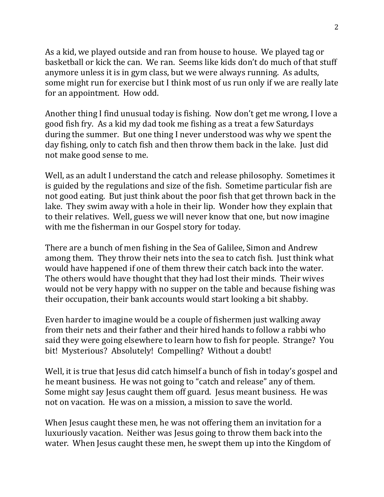As a kid, we played outside and ran from house to house. We played tag or basketball or kick the can. We ran. Seems like kids don't do much of that stuff anymore unless it is in gym class, but we were always running. As adults, some might run for exercise but I think most of us run only if we are really late for an appointment. How odd.

Another thing I find unusual today is fishing. Now don't get me wrong, I love a good fish fry. As a kid my dad took me fishing as a treat a few Saturdays during the summer. But one thing I never understood was why we spent the day fishing, only to catch fish and then throw them back in the lake. Just did not make good sense to me.

Well, as an adult I understand the catch and release philosophy. Sometimes it is guided by the regulations and size of the fish. Sometime particular fish are not good eating. But just think about the poor fish that get thrown back in the lake. They swim away with a hole in their lip. Wonder how they explain that to their relatives. Well, guess we will never know that one, but now imagine with me the fisherman in our Gospel story for today.

There are a bunch of men fishing in the Sea of Galilee, Simon and Andrew among them. They throw their nets into the sea to catch fish. Just think what would have happened if one of them threw their catch back into the water. The others would have thought that they had lost their minds. Their wives would not be very happy with no supper on the table and because fishing was their occupation, their bank accounts would start looking a bit shabby.

Even harder to imagine would be a couple of fishermen just walking away from their nets and their father and their hired hands to follow a rabbi who said they were going elsewhere to learn how to fish for people. Strange? You bit! Mysterious? Absolutely! Compelling? Without a doubt!

Well, it is true that Jesus did catch himself a bunch of fish in today's gospel and he meant business. He was not going to "catch and release" any of them. Some might say Jesus caught them off guard. Jesus meant business. He was not on vacation. He was on a mission, a mission to save the world.

When Jesus caught these men, he was not offering them an invitation for a luxuriously vacation. Neither was Jesus going to throw them back into the water. When Jesus caught these men, he swept them up into the Kingdom of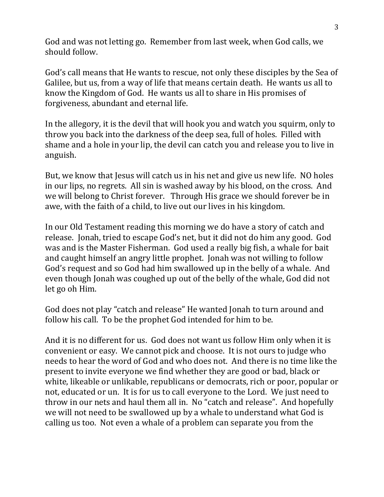God and was not letting go. Remember from last week, when God calls, we should follow.

God's call means that He wants to rescue, not only these disciples by the Sea of Galilee, but us, from a way of life that means certain death. He wants us all to know the Kingdom of God. He wants us all to share in His promises of forgiveness, abundant and eternal life.

In the allegory, it is the devil that will hook you and watch you squirm, only to throw you back into the darkness of the deep sea, full of holes. Filled with shame and a hole in your lip, the devil can catch you and release you to live in anguish.

But, we know that Jesus will catch us in his net and give us new life. NO holes in our lips, no regrets. All sin is washed away by his blood, on the cross. And we will belong to Christ forever. Through His grace we should forever be in awe, with the faith of a child, to live out our lives in his kingdom.

In our Old Testament reading this morning we do have a story of catch and release. Jonah, tried to escape God's net, but it did not do him any good. God was and is the Master Fisherman. God used a really big fish, a whale for bait and caught himself an angry little prophet. Jonah was not willing to follow God's request and so God had him swallowed up in the belly of a whale. And even though Jonah was coughed up out of the belly of the whale, God did not let go oh Him.

God does not play "catch and release" He wanted Jonah to turn around and follow his call. To be the prophet God intended for him to be.

And it is no different for us. God does not want us follow Him only when it is convenient or easy. We cannot pick and choose. It is not ours to judge who needs to hear the word of God and who does not. And there is no time like the present to invite everyone we find whether they are good or bad, black or white, likeable or unlikable, republicans or democrats, rich or poor, popular or not, educated or un. It is for us to call everyone to the Lord. We just need to throw in our nets and haul them all in. No "catch and release". And hopefully we will not need to be swallowed up by a whale to understand what God is calling us too. Not even a whale of a problem can separate you from the